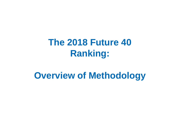# **The 2018 Future 40 Ranking:**

# **Overview of Methodology**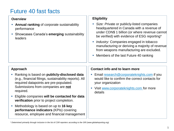### Future 40 fast facts

#### **Overview**

- **Annual ranking** of corporate sustainability performance
- **Showcases Canada's emerging sustainability** leaders

#### **Eligibility**

- *Size: Private or publicly-listed companies* headquartered in Canada with a revenue of under CDN\$ 1 billion (or where revenue cannot be verified) with evidence of ESG reporting\*
- *Industry:* Companies engaged in tobacco manufacturing or deriving a majority of revenue from weapons manufacturing are excluded.
- Members of the last Future 40 ranking

#### **Approach**

- Ranking is based on **publicly-disclosed data**  (e.g., financial filings, sustainability reports). All required datapoints are pre-populated. Submissions from companies are **not** required.
- Eligible companies will be contacted for data **verification** prior to project completion.
- Methodology is based on up to **16 key performance indicators** (KPIs) covering resource, employee and financial management

#### **Contact info and to learn more**

- **Email [research@corporateknights.com](mailto:research@corporateknights.com) if you** would like to confirm the correct contacts for your organization
- **.** Visit [www.corporateknights.com f](http://www.global100.org/)or more details

*<sup>\*</sup> Determined primarily through inclusion in the list of CSR reporters according to the GRI (www.globalreporting.org)*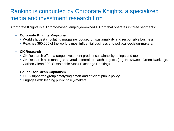### Ranking is conducted by Corporate Knights, a specialized media and investment research firm

Corporate Knights is a Toronto-based, employee-owned B Corp that operates in three segments**:**

#### – **Corporate Knights Magazine**

- World's largest circulating magazine focused on sustainability and responsible business.
- Reaches 380,000 of the world's most influential business and political decision-makers.

#### – **CK Research**

- CK Research offers a range investment product sustainability ratings and tools
- CK Research also manages several external research projects (e.g. Newsweek Green Rankings, Carbon Clean 200, Sustainable Stock Exchange Ranking).

#### – **Council for Clean Capitalism**

- CEO-supported group catalyzing smart and efficient public policy.
- Engages with leading public policy-makers.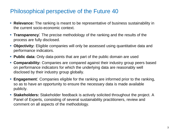### Philosophical perspective of the Future 40

- **Relevance:** The ranking is meant to be representative of business sustainability in the current socio-economic context.
- **Transparency:** The precise methodology of the ranking and the results of the process are fully disclosed.
- **Objectivity:** Eligible companies will only be assessed using quantitative data and performance indicators.
- **Public data:** Only data-points that are part of the public domain are used
- **Comparability:** Companies are compared against their industry group peers based on performance indicators for which the underlying data are reasonably well disclosed by their industry group globally.
- **Engagement**: Companies eligible for the ranking are informed prior to the ranking, so as to have an opportunity to ensure the necessary data is made available publicly.
- **Example 1** Stakeholder feedback is actively solicited throughout the project. A Panel of Experts, consisting of several sustainability practitioners, review and comment on all aspects of the methodology.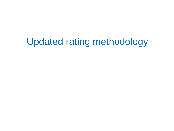# Updated rating methodology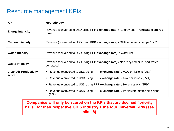### Resource management KPIs

| <b>KPI</b>                    | <b>Methodology</b>                                                                             |
|-------------------------------|------------------------------------------------------------------------------------------------|
| <b>Energy Intensity</b>       | Revenue (converted to USD using PPP exchange rate) / (Energy use – renewable energy<br>use)    |
| <b>Carbon Intensity</b>       | Revenue (converted to USD using PPP exchange rate) / GHG emissions: scope 1 & 2                |
| <b>Water Intensity</b>        | Revenue (converted to USD using PPP exchange rate) / Water use                                 |
| <b>Waste Intensity</b>        | Revenue (converted to USD using PPP exchange rate) / Non-recycled or reused waste<br>generated |
| <b>Clean Air Productivity</b> | ■ Revenue (converted to USD using PPP exchange rate) / VOC emissions (25%)                     |
| score                         | ■ Revenue (converted to USD using PPP exchange rate) / Nox emissions (25%)                     |
|                               | ■ Revenue (converted to USD using PPP exchange rate) / Sox emissions (25%)                     |
|                               | Revenue (converted to USD using PPP exchange rate) / Particulate matter emissions<br>(25%)     |

**Companies will only be scored on the KPIs that are deemed "priority KPIs" for their respective GICS industry + the four universal KPIs (see slide 8)**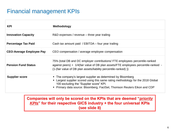### Financial management KPIs

| <b>KPI</b>                      | <b>Methodology</b>                                                                                                                                                                                                                                                     |
|---------------------------------|------------------------------------------------------------------------------------------------------------------------------------------------------------------------------------------------------------------------------------------------------------------------|
| <b>Innovation Capacity</b>      | $R&D$ expenses / revenue – three year trailing                                                                                                                                                                                                                         |
| <b>Percentage Tax Paid</b>      | Cash tax amount paid / EBITDA – four year trailing                                                                                                                                                                                                                     |
| <b>CEO-Average Employee Pay</b> | CEO compensation / average employee compensation                                                                                                                                                                                                                       |
| <b>Pension Fund Status</b>      | 75% (total DB and DC employer contributions/ FTE employees percentile-ranked<br>against peers) + 1/4(fair value of DB plan assets/FTE employees percentile-ranked -<br>(1-(fair value of DB plan assets/liability percentile-ranked))                                  |
| <b>Supplier score</b>           | • The company's largest supplier as determined by Bloomberg<br>• Largest supplier scored using this same rating methodology for the 2018 Global<br>100 excluding the "Supplier score" KPI.<br>• Primary data source: Bloomberg, FactSet, Thomson Reuters Eikon and CDP |

#### **Companies will only be scored on the KPIs that are deemed "***priority KPIs***" for their respective GICS industry + the four universal KPIs (see slide 8)**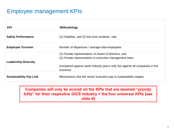### Employee management KPIs

| <b>KPI</b>                     | <b>Methodology</b>                                                                                                                                                                                          |
|--------------------------------|-------------------------------------------------------------------------------------------------------------------------------------------------------------------------------------------------------------|
| <b>Safety Performance</b>      | (1) Fatalities, and (2) lost time incidents rate                                                                                                                                                            |
| <b>Employee Turnover</b>       | Number of departures / average total employees                                                                                                                                                              |
| <b>Leadership Diversity</b>    | (1) Female representation on board of directors, and<br>(2) Female representation in executive management team<br>(compared against same industry peers only, but against all companies in the<br>universe) |
| <b>Sustainability Pay Link</b> | Mechanisms that link senior executive pay to sustainability targets                                                                                                                                         |

**Companies will only be scored on the KPIs that are deemed "***priority KPIs***" for their respective GICS industry + the four universal KPIs (see slide 8)**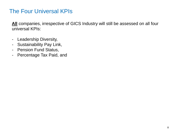### The Four Universal KPIs

**All** companies, irrespective of GICS Industry will still be assessed on all four universal KPIs:

- Leadership Diversity,
- Sustainability Pay Link,
- Pension Fund Status,
- Percentage Tax Paid, and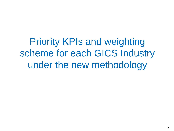Priority KPIs and weighting scheme for each GICS Industry under the new methodology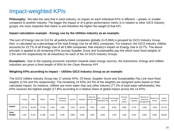### Impact-weighted KPIs

**Philosophy:** We take the view that in each industry, its impact on each individual KPIs is different – greater or smaller compared to another industry. The bigger the impact or of a given performance metric is in relation to other GICS Industry groups, the more impactful that metric is and therefore the higher the weight of that KPI.

#### **Impact calculation example - Energy use by the Utilities industry as an example:**

The sum of Energy Use (in GJ) for all publicly-listed companies globally (n=5,994) is grouped by GICS Industry Group, then is calculated as a percentage of the total Energy Use for all 5831 companies. For instance, the GICS Industry Utilities accounts for 23.7% of all Energy Use of all 5,994 companies; that industry's impact on Energy Use is 23.7%. The above principle is applied to all remaining KPIs (except Supplier Score and Sustainability pay link which have fixed weights of 2.5% and 5% respectively for all industries) for each of the 24 GICS Industry Groups.

**Exceptions:** *Due to the ongoing economic transition towards clean energy sources, the Automotive, Energy and Utilities industries are given a fixed weight of 50% for the Clean Revenue KPI.*

#### **Weighing KPIs according to impact – Utilities GICS Industry Group as an example:**

The GICS Utilities Industry Group has 17 priority KPIs. Of these, Supplier Score and Sustainability Pay Link have fixed weights (2.5% and 5% respectively). The remaining 14 KPIs (42.5% of the weights) are assigned ranks based on their calculated impact: for instance, Utilities use more water than any other industry (77.2% of total water withdrawals); this KPIs receives the highest weight (17.8%) according to it relative share of global impact across the 14 KPIs.

|                 | Energy | <b>GHG</b> | Water | Waste | Employee<br>Turnover | <b>Injuries</b> | Fatalities | Clean Air<br>productivit | CEO - Average Percentage<br>Employee Pay | tax paid | Pension<br>Fund<br><b>Status</b> | Innovation<br>capacity | Women in<br>executive<br><b>Imanagement</b> | lWomen onl<br>board | Clean<br>revenue |
|-----------------|--------|------------|-------|-------|----------------------|-----------------|------------|--------------------------|------------------------------------------|----------|----------------------------------|------------------------|---------------------------------------------|---------------------|------------------|
| Impact          | 23.7%  | 35.3%      | 77.2% | 1.4%  | 2.8%                 | 3.3%            | 10.5%      | 7.9%                     | 2.6%                                     | 6.4%     | 6.8%                             | 0.7%                   | 2.6%                                        | 3.6%                | 22.7%            |
| Final<br>Weight | 5.5%   | 8.1%       | 17.8% | 0.3%  | 0.6%                 | 0.8%            | 2.4%       | 1.8%                     | 0.6%                                     | 1.5%     | 1.6%                             | 0.2%                   | 0.6%                                        | 0.8%                | 50.0%            |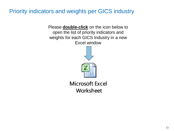### Priority indicators and weights per GICS industry

Please **double-click** on the icon below to open the list of priority indicators and weights for each GICS Industry in a new Excel window





**Microsoft Excel** Worksheet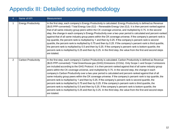## Appendix III: Detailed scoring methodology

| #              | Name of KPI                | Measurement                                                                                                                                                                                                                                                                                                                                                                                                                                                                                                                                                                                                                                                                                                                                                                                                                                                                                                                                                                                                                                                                                                                                                |
|----------------|----------------------------|------------------------------------------------------------------------------------------------------------------------------------------------------------------------------------------------------------------------------------------------------------------------------------------------------------------------------------------------------------------------------------------------------------------------------------------------------------------------------------------------------------------------------------------------------------------------------------------------------------------------------------------------------------------------------------------------------------------------------------------------------------------------------------------------------------------------------------------------------------------------------------------------------------------------------------------------------------------------------------------------------------------------------------------------------------------------------------------------------------------------------------------------------------|
| $\mathbf{1}$   | <b>Energy Productivity</b> | In the first step, each company's Energy Productivity is calculated. Energy Productivity is defined as Revenue<br>(\$US PPP-converted) / Total Energy Use (GJ) – Renewable Energy Use (GJ). It is then percent-ranked against<br>that of all same-industry group peers within the CK coverage universe, and multiplied by 0.75. In the second<br>step, the change in each company's Energy Productivity over a two-year period is calculated and percent-ranked<br>against that of all same-industry group peers within the CK coverage universe. If the company's percent-rank is<br>top quartile, the percent-rank is multiplied by 1 and then by 0.25. If the company's percent-rank is second<br>quartile, the percent-rank is multiplied by 0.75 and then by 0.25. If the company's percent-rank is third quartile,<br>the percent-rank is multiplied by 0.5 and then by 0.25. If the company's percent-rank is bottom quartile, the<br>percent-rank is multiplied by 0.25 and then by 0.25. In the third step, the value from the first and second steps<br>are totaled.                                                                             |
| $\overline{2}$ | <b>Carbon Productivity</b> | In the first step, each company's Carbon Productivity is calculated. Carbon Productivity is defined as Revenue<br>(\$US PPP-converted) / Total Greenhouse gas (GHG) Emissions (CO2e). Only Scope 1 and Scope 2 emissions<br>are included according to the GHG Protocol. It is then percent-ranked against that of all same-industry group<br>peers within the CK coverage universe, and multiplied by 0.75. In the second step, the change in each<br>company's Carbon Productivity over a two-year period is calculated and percent-ranked against that of all<br>same-industry group peers within the CK coverage universe. If the company's percent-rank is top quartile, the<br>percent-rank is multiplied by 1 and then by 0.25. If the company's percent-rank is second quartile, the<br>percent-rank is multiplied by 0.75 and then by 0.25. If the company's percent-rank is third quartile, the<br>percent-rank is multiplied by 0.5 and then by 0.25. If the company's percent-rank is bottom quartile, the<br>percent-rank is multiplied by 0.25 and then by 0.25. In the third step, the value from the first and second steps<br>are totaled. |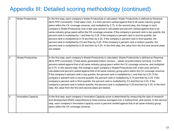| $\overline{3}$ | <b>Water Productivity</b>  | In the first step, each company's Water Productivity is calculated. Water Productivity is defined as Revenue<br>(\$US PPP-converted) / Total water (m3). It is then percent-ranked against that of all same-industry group<br>peers within the CK coverage universe, and multiplied by 0.75. In the second step, the change in each<br>company's Water Productivity over a two-year period is calculated and percent-ranked against that of all<br>same-industry group peers within the CK coverage universe. If the company's percent-rank is top quartile, the<br>percent-rank is multiplied by 1 and then by 0.25. If the company's percent-rank is second quartile, the<br>percent-rank is multiplied by 0.75 and then by 0.25. If the company's percent-rank is third quartile, the<br>percent-rank is multiplied by 0.5 and then by 0.25. If the company's percent-rank is bottom quartile, the<br>percent-rank is multiplied by 0.25 and then by 0.25. In the third step, the value from the first and second steps<br>are totaled.                                                        |
|----------------|----------------------------|---------------------------------------------------------------------------------------------------------------------------------------------------------------------------------------------------------------------------------------------------------------------------------------------------------------------------------------------------------------------------------------------------------------------------------------------------------------------------------------------------------------------------------------------------------------------------------------------------------------------------------------------------------------------------------------------------------------------------------------------------------------------------------------------------------------------------------------------------------------------------------------------------------------------------------------------------------------------------------------------------------------------------------------------------------------------------------------------------|
| $\overline{4}$ | <b>Waste Productivity</b>  | In the first step, each company's Waste Productivity is calculated Waste Productivity is defined as Revenue<br>(\$US PPP-converted) / [Total waste generated (metric tonnes) - waste recycled (metric tonnes)]. It is then<br>percent-ranked against that of all same-industry group peers within the CK coverage universe, and multiplied<br>by 0.75. In the second step, the change in each company's Waste Productivity over a two-year period is<br>calculated and percent-ranked against that of all same-industry group peers within the CK coverage universe.<br>If the company's percent-rank is top quartile, the percent-rank is multiplied by 1 and then by 0.25. If the<br>company's percent-rank is second quartile, the percent-rank is multiplied by 0.75 and then by 0.25. If the<br>company's percent-rank is third quartile, the percent-rank is multiplied by 0.5 and then by 0.25. If the<br>company's percent-rank is bottom quartile, the percent-rank is multiplied by 0.25 and then by 0.25. In the third<br>step, the value from the first and second steps are totaled. |
| 5              | <b>Innovation Capacity</b> | In the first step, each company's Innovation Capacity score is determined by measuring the ratio of research<br>and development (R&D) expenditures to total revenue averaged over a trailing three-year period. In the second<br>step, each company's Innovation Capacity score is percent-ranked against that of all same-industry group<br>peers within the CK coverage universe.                                                                                                                                                                                                                                                                                                                                                                                                                                                                                                                                                                                                                                                                                                               |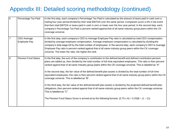| 6              | Percentage Tax Paid         | In the first step, each company's Percentage Tax Paid is calculated as the amount of taxes paid in cash over a<br>trailing four year period divided by their total EBITDA over the same period. Companies score a 0% in the event<br>that their total EBITDA or taxes paid in cash is zero or lower over the four year period. In the second step, each<br>company's Percentage Tax Paid is percent-ranked against that of all same-industry group peers within the CK<br>coverage universe.                                                                                                                                                                                                                                                                                                                                                                                                                                                                                                                                               |
|----------------|-----------------------------|--------------------------------------------------------------------------------------------------------------------------------------------------------------------------------------------------------------------------------------------------------------------------------------------------------------------------------------------------------------------------------------------------------------------------------------------------------------------------------------------------------------------------------------------------------------------------------------------------------------------------------------------------------------------------------------------------------------------------------------------------------------------------------------------------------------------------------------------------------------------------------------------------------------------------------------------------------------------------------------------------------------------------------------------|
| $\overline{7}$ | CEO-Average<br>Employee Pay | In the first step, each company's CEO to Average Employee Pay ratio is calculated as total CEO compensation<br>divided by average employee compensation. Average employee compensation is calculated by dividing the<br>company's total wage bill by the total number of employees. In the second step, each company's CEO to Average<br>Employee Pay ratio is percent-ranked against that of all same-industry group peers within the CK coverage<br>universe. The lower the ratio, the higher the rank.                                                                                                                                                                                                                                                                                                                                                                                                                                                                                                                                  |
| 8              | <b>Pension Fund Status</b>  | In the first step, the sum of the company's contribution to the defined benefit and defined contribution pension<br>plans are added up, then divided by the total number of full-time equivalent employees. This ratio is then percent-<br>ranked against that of all same-industry group peers within the CK coverage universe. This is labelled as "A"<br>In the second step, the fair value of the defined benefit plan assets is divided by the total number of full-time<br>equivalent employees; this ratio is then percent-ranked against that of all same-industry group peers within the CK<br>coverage universe. This is labelled as "B",<br>In the third step, the fair value of the defined benefit plan assets is divided by the projected defined benefit plan<br>obligations, then percent-ranked against that of all same-industry group peers within the CK coverage universe.<br>This is labelled as "C".<br>The Pension Fund Status Score is arrived at by the following formula: $(0.75 \times A) + 0.25(B - (1 - C))$ |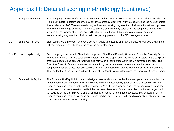| $9 - 10$  | Safety Performance      | Each company's Safety Performance is comprised of the Lost Time Injury Score and the Fatality Score. The Lost<br>Time Injury Score is determined by calculating the company's lost time injury rate (defined as the number of lost<br>time incidents per 200,000 employee hours) and percent-ranking it against that of all same-industry group peers<br>within the CK coverage universe. The Fatality Score is determined by calculating the company's fatality rate<br>(defined as the number of fatalities divided by the total number of fill-time equivalent employees) and<br>percent-ranking it against that of all same-industry group peers within the CK coverage universe.                                                        |
|-----------|-------------------------|----------------------------------------------------------------------------------------------------------------------------------------------------------------------------------------------------------------------------------------------------------------------------------------------------------------------------------------------------------------------------------------------------------------------------------------------------------------------------------------------------------------------------------------------------------------------------------------------------------------------------------------------------------------------------------------------------------------------------------------------|
| 11        | Employee Turnover       | Each company's Employee Turnover is percent-ranked against that of all same industry group peers within the<br>CK coverage universe. The lower the ratio, the higher the rank.                                                                                                                                                                                                                                                                                                                                                                                                                                                                                                                                                               |
| $12 - 13$ | Leadership Diversity    | Each company's Leadership Diversity is comprised of the Board Diversity Score and Executive Diversity Score<br>The Board Diversity Score is calculated by determining the proportion of the Board of Directors that is comprised<br>of female directors and percent-ranking it against that of all companies within the CK coverage universe. The<br>Executive Diversity Score is calculated by determining the proportion of the senior executive team that is<br>comprised of female executives and percent-ranking it against all companies within the CK coverage universe.<br>The Leadership Diversity Score is then the sum of the Board Diversity Score and the Executive Diversity Score.                                            |
| 14        | Sustainability Pay Link | The Sustainability Pay Link indicator is designed to reward companies that have set up mechanisms to link the<br>remuneration of senior executives with the achievement of sustainability goals or targets. A score of 100% is<br>given to companies that describe such a mechanism (e.g. the company specifies the proportion of a particular<br>named executive's compensation that is linked to the achievement of a corporate clean capitalism target, such<br>as reducing emissions, improving energy efficiency, or reducing health & safety accidents). A score of 0% is<br>given to companies that do not report any linking mechanisms. Unlike all other indicators, Clean Capitalism Pay<br>Link does not use any percent-ranking. |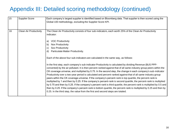| 15 | <b>Supplier Score</b>         | Each company's largest supplier is identified based on Bloomberg data. That supplier is then scored using the<br>Global 100 methodology, excluding the Supplier Score KPI.                                                                                                                                                                                                                                                                                                                                                                                                                                                                                                                                                                                                                                                                                                                                                                                                                                                                                                                                                                                                                                                                                                                                                                                                         |
|----|-------------------------------|------------------------------------------------------------------------------------------------------------------------------------------------------------------------------------------------------------------------------------------------------------------------------------------------------------------------------------------------------------------------------------------------------------------------------------------------------------------------------------------------------------------------------------------------------------------------------------------------------------------------------------------------------------------------------------------------------------------------------------------------------------------------------------------------------------------------------------------------------------------------------------------------------------------------------------------------------------------------------------------------------------------------------------------------------------------------------------------------------------------------------------------------------------------------------------------------------------------------------------------------------------------------------------------------------------------------------------------------------------------------------------|
| 16 | <b>Clean Air Productivity</b> | The Clean Air Productivity consists of four sub-indicators, each worth 25% of the Clean Air Productivity<br>indicator:<br><b>VOC Productivity</b><br>a)<br>Nox Productivity<br>b)<br>Sox Productivity<br>C)<br>Particulate Matter Productivity.<br>d)<br>Each of the above four sub-indicators are calculated in the same way, as follows:<br>In the first step, each company's sub-indicator Productivity is calculated by dividing Revenue (\$US PPP-<br>converted) by the air pollutant. It is then percent-ranked against that of all same-industry group peers within the<br>CK coverage universe, and multiplied by 0.75. In the second step, the change in each company's sub-indicator<br>Productivity over a two-year period is calculated and percent-ranked against that of all same-industry group<br>peers within the CK coverage universe. If the company's percent-rank is top quartile, the percent-rank is<br>multiplied by 1 and then by 0.25. If the company's percent-rank is second quartile, the percent-rank is multiplied<br>by 0.75 and then by 0.25. If the company's percent-rank is third quartile, the percent-rank is multiplied by 0.5 and<br>then by 0.25. If the company's percent-rank is bottom quartile, the percent-rank is multiplied by 0.25 and then by<br>0.25. In the third step, the value from the first and second steps are totaled. |